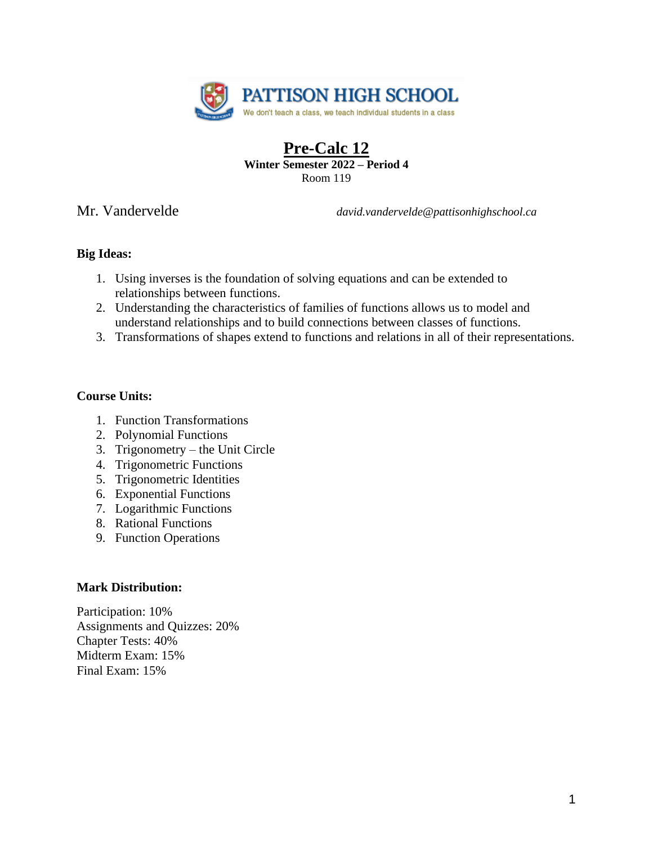

# **Pre-Calc 12 Winter Semester 2022 – Period 4** Room 119

Mr. Vandervelde *david.vandervelde@pattisonhighschool.ca*

# **Big Ideas:**

- 1. Using inverses is the foundation of solving equations and can be extended to relationships between functions.
- 2. Understanding the characteristics of families of functions allows us to model and understand relationships and to build connections between classes of functions.
- 3. Transformations of shapes extend to functions and relations in all of their representations.

# **Course Units:**

- 1. Function Transformations
- 2. Polynomial Functions
- 3. Trigonometry the Unit Circle
- 4. Trigonometric Functions
- 5. Trigonometric Identities
- 6. Exponential Functions
- 7. Logarithmic Functions
- 8. Rational Functions
- 9. Function Operations

## **Mark Distribution:**

Participation: 10% Assignments and Quizzes: 20% Chapter Tests: 40% Midterm Exam: 15% Final Exam: 15%